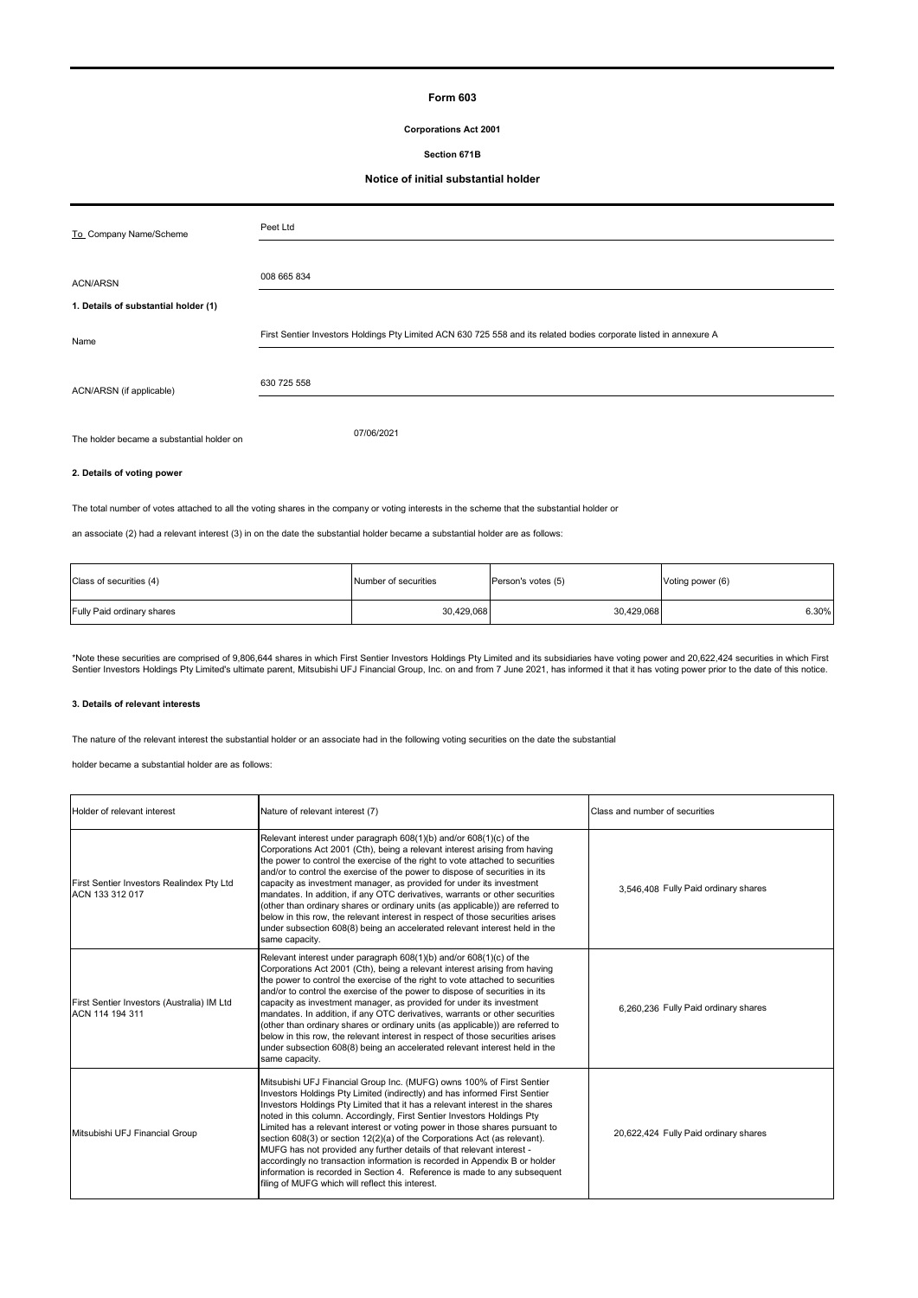### **Form 603**

### **Corporations Act 2001**

### **Section 671B**

## **Notice of initial substantial holder**

| To_Company Name/Scheme                    | Peet Ltd                                                                                                           |
|-------------------------------------------|--------------------------------------------------------------------------------------------------------------------|
| <b>ACN/ARSN</b>                           | 008 665 834                                                                                                        |
| 1. Details of substantial holder (1)      |                                                                                                                    |
| Name                                      | First Sentier Investors Holdings Pty Limited ACN 630 725 558 and its related bodies corporate listed in annexure A |
| ACN/ARSN (if applicable)                  | 630 725 558                                                                                                        |
| The holder became a substantial holder on | 07/06/2021                                                                                                         |

# **2. Details of voting power**

The total number of votes attached to all the voting shares in the company or voting interests in the scheme that the substantial holder or

an associate (2) had a relevant interest (3) in on the date the substantial holder became a substantial holder are as follows:

| Class of securities (4)    | Number of securities | Person's votes (5) | Voting power (6) |
|----------------------------|----------------------|--------------------|------------------|
| Fully Paid ordinary shares | 30,429,068           | 30,429,068         | 6.30%            |

\*Note these securities are comprised of 9,806,644 shares in which First Sentier Investors Holdings Pty Limited and its subsidiaries have voting power and 20,622,424 securities in which First<br>Sentier Investors Holdings Pty

### **3. Details of relevant interests**

The nature of the relevant interest the substantial holder or an associate had in the following voting securities on the date the substantial

holder became a substantial holder are as follows:

| Holder of relevant interest                                   | Nature of relevant interest (7)                                                                                                                                                                                                                                                                                                                                                                                                                                                                                                                                                                                                                                                                                                                                    | Class and number of securities        |
|---------------------------------------------------------------|--------------------------------------------------------------------------------------------------------------------------------------------------------------------------------------------------------------------------------------------------------------------------------------------------------------------------------------------------------------------------------------------------------------------------------------------------------------------------------------------------------------------------------------------------------------------------------------------------------------------------------------------------------------------------------------------------------------------------------------------------------------------|---------------------------------------|
| First Sentier Investors Realindex Pty Ltd<br>ACN 133 312 017  | Relevant interest under paragraph 608(1)(b) and/or 608(1)(c) of the<br>Corporations Act 2001 (Cth), being a relevant interest arising from having<br>the power to control the exercise of the right to vote attached to securities<br>and/or to control the exercise of the power to dispose of securities in its<br>capacity as investment manager, as provided for under its investment<br>mandates. In addition, if any OTC derivatives, warrants or other securities<br>(other than ordinary shares or ordinary units (as applicable)) are referred to<br>below in this row, the relevant interest in respect of those securities arises<br>under subsection 608(8) being an accelerated relevant interest held in the<br>same capacity.                       | 3.546.408 Fully Paid ordinary shares  |
| First Sentier Investors (Australia) IM Ltd<br>ACN 114 194 311 | Relevant interest under paragraph 608(1)(b) and/or 608(1)(c) of the<br>Corporations Act 2001 (Cth), being a relevant interest arising from having<br>the power to control the exercise of the right to vote attached to securities<br>and/or to control the exercise of the power to dispose of securities in its<br>capacity as investment manager, as provided for under its investment<br>mandates. In addition, if any OTC derivatives, warrants or other securities<br>(other than ordinary shares or ordinary units (as applicable)) are referred to<br>below in this row, the relevant interest in respect of those securities arises<br>under subsection 608(8) being an accelerated relevant interest held in the<br>same capacity.                       | 6,260,236 Fully Paid ordinary shares  |
| Mitsubishi UFJ Financial Group                                | Mitsubishi UFJ Financial Group Inc. (MUFG) owns 100% of First Sentier<br>Investors Holdings Pty Limited (indirectly) and has informed First Sentier<br>Investors Holdings Pty Limited that it has a relevant interest in the shares<br>noted in this column. Accordingly, First Sentier Investors Holdings Pty<br>Limited has a relevant interest or voting power in those shares pursuant to<br>section 608(3) or section 12(2)(a) of the Corporations Act (as relevant).<br>MUFG has not provided any further details of that relevant interest -<br>accordingly no transaction information is recorded in Appendix B or holder<br>information is recorded in Section 4. Reference is made to any subsequent<br>filing of MUFG which will reflect this interest. | 20,622,424 Fully Paid ordinary shares |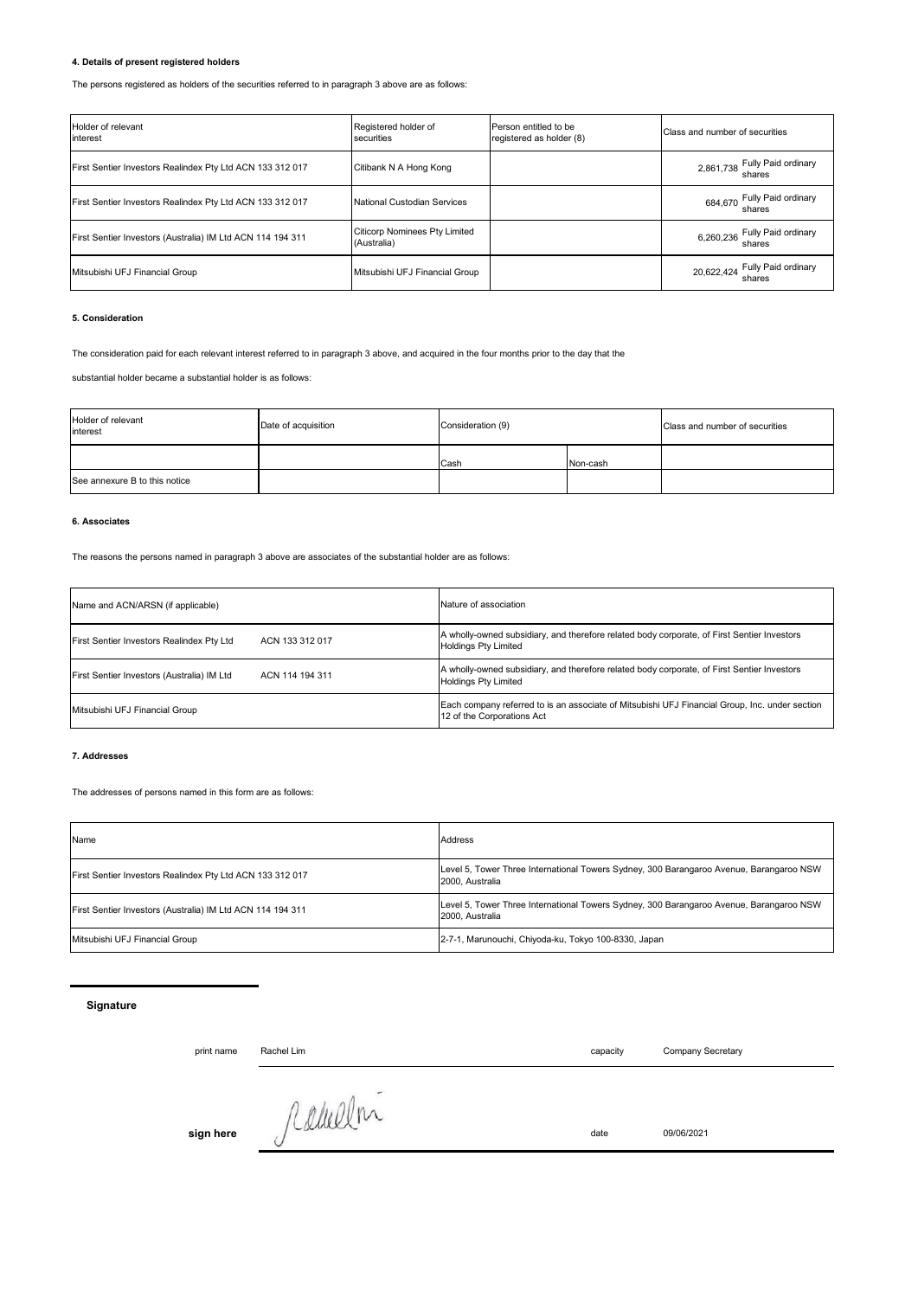## **4. Details of present registered holders**

The persons registered as holders of the securities referred to in paragraph 3 above are as follows:

| Holder of relevant<br>interest                             | Registered holder of<br>securities                  | Person entitled to be<br>registered as holder (8) | Class and number of securities           |
|------------------------------------------------------------|-----------------------------------------------------|---------------------------------------------------|------------------------------------------|
| First Sentier Investors Realindex Pty Ltd ACN 133 312 017  | Citibank N A Hong Kong                              |                                                   | 2,861,738 Fully Paid ordinary            |
| First Sentier Investors Realindex Pty Ltd ACN 133 312 017  | National Custodian Services                         |                                                   | 684,670 Fully Paid ordinary<br>shares    |
| First Sentier Investors (Australia) IM Ltd ACN 114 194 311 | <b>Citicorp Nominees Pty Limited</b><br>(Australia) |                                                   | 6,260,236 Fully Paid ordinary<br>shares  |
| Mitsubishi UFJ Financial Group                             | Mitsubishi UFJ Financial Group                      |                                                   | 20,622,424 Fully Paid ordinary<br>shares |

### **5. Consideration**

The consideration paid for each relevant interest referred to in paragraph 3 above, and acquired in the four months prior to the day that the

substantial holder became a substantial holder is as follows:

| Holder of relevant<br>interest | Date of acquisition | Consideration (9) |          | Class and number of securities |
|--------------------------------|---------------------|-------------------|----------|--------------------------------|
|                                |                     | Cash              | Non-cash |                                |
| See annexure B to this notice  |                     |                   |          |                                |

# **6. Associates**

The reasons the persons named in paragraph 3 above are associates of the substantial holder are as follows:

| Name and ACN/ARSN (if applicable)          | Nature of association                                                                                                        |  |  |
|--------------------------------------------|------------------------------------------------------------------------------------------------------------------------------|--|--|
| First Sentier Investors Realindex Pty Ltd  | A wholly-owned subsidiary, and therefore related body corporate, of First Sentier Investors                                  |  |  |
| ACN 133 312 017                            | <b>Holdings Pty Limited</b>                                                                                                  |  |  |
| First Sentier Investors (Australia) IM Ltd | A wholly-owned subsidiary, and therefore related body corporate, of First Sentier Investors                                  |  |  |
| ACN 114 194 311                            | <b>Holdings Pty Limited</b>                                                                                                  |  |  |
| Mitsubishi UFJ Financial Group             | Each company referred to is an associate of Mitsubishi UFJ Financial Group, Inc. under section<br>12 of the Corporations Act |  |  |

### **7. Addresses**

The addresses of persons named in this form are as follows:

| Name                                                       | Address                                                                                                    |
|------------------------------------------------------------|------------------------------------------------------------------------------------------------------------|
| First Sentier Investors Realindex Pty Ltd ACN 133 312 017  | Level 5, Tower Three International Towers Sydney, 300 Barangaroo Avenue, Barangaroo NSW<br>2000. Australia |
| First Sentier Investors (Australia) IM Ltd ACN 114 194 311 | Level 5, Tower Three International Towers Sydney, 300 Barangaroo Avenue, Barangaroo NSW<br>2000. Australia |
| Mitsubishi UFJ Financial Group                             | 2-7-1, Marunouchi, Chiyoda-ku, Tokyo 100-8330, Japan                                                       |

# **Signature**

print name capacity Rachel Lim

Company Secretary

**sign here** *date* 09/06/2021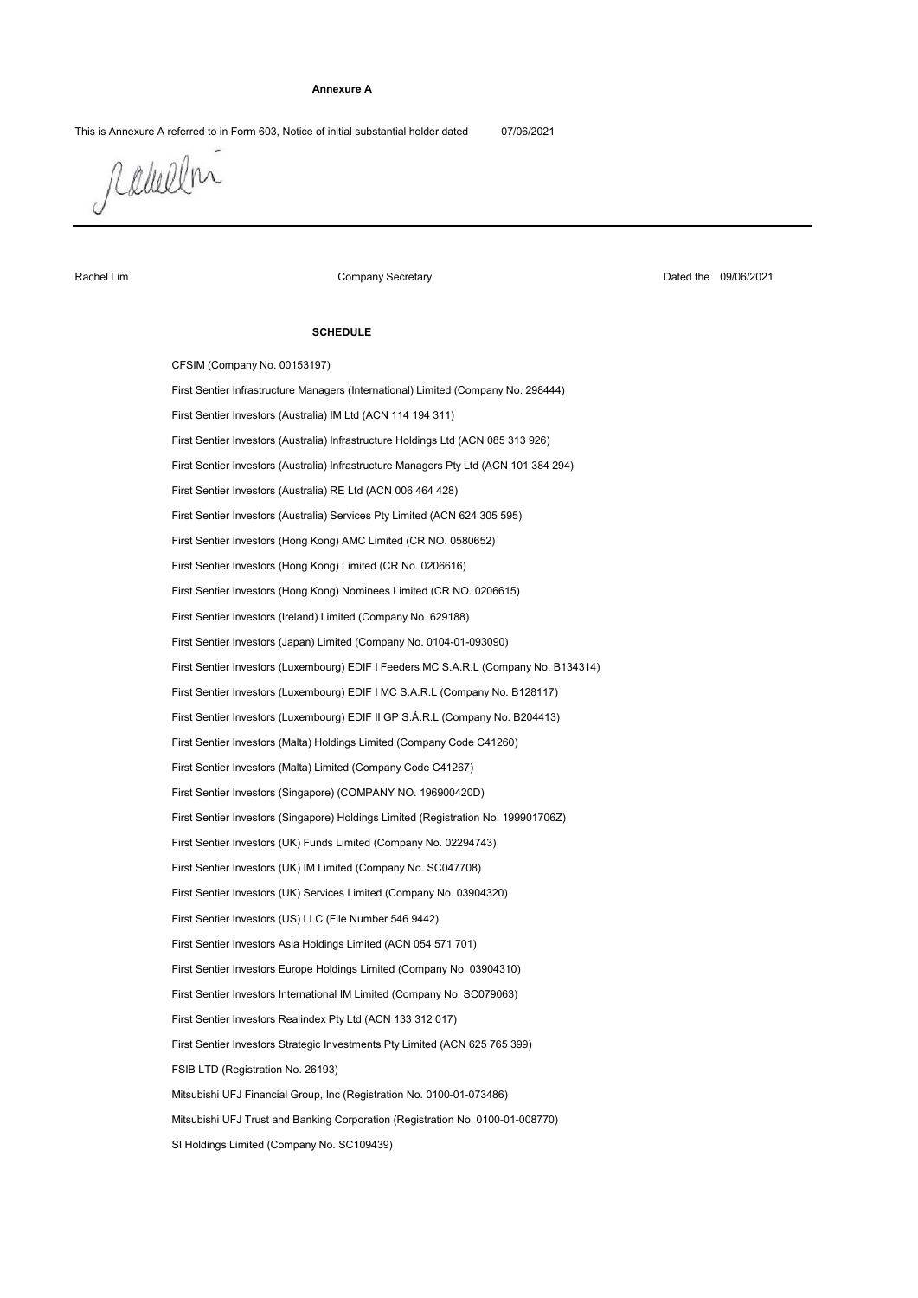#### **Annexure A**

This is Annexure A referred to in Form 603, Notice of initial substantial holder dated 07/06/2021

raulen

Rachel Lim

Company Secretary

Dated the 09/06/2021

#### **SCHEDULE**

First Sentier Investors (Australia) Infrastructure Managers Pty Ltd (ACN 101 384 294) CFSIM (Company No. 00153197) First Sentier Investors (Australia) IM Ltd (ACN 114 194 311) First Sentier Investors (UK) IM Limited (Company No. SC047708) First Sentier Investors (Luxembourg) EDIF II GP S.Á.R.L (Company No. B204413) First Sentier Investors (Malta) Limited (Company Code C41267) First Sentier Investors (Singapore) Holdings Limited (Registration No. 199901706Z) First Sentier Investors Asia Holdings Limited (ACN 054 571 701) SI Holdings Limited (Company No. SC109439) First Sentier Investors (Hong Kong) Limited (CR No. 0206616) First Sentier Investors (Australia) Services Pty Limited (ACN 624 305 595) First Sentier Investors (Ireland) Limited (Company No. 629188) First Sentier Investors (Luxembourg) EDIF I Feeders MC S.A.R.L (Company No. B134314) First Sentier Investors Realindex Pty Ltd (ACN 133 312 017) FSIB LTD (Registration No. 26193) First Sentier Investors Europe Holdings Limited (Company No. 03904310) First Sentier Investors (US) LLC (File Number 546 9442) Mitsubishi UFJ Trust and Banking Corporation (Registration No. 0100-01-008770) First Sentier Investors (Hong Kong) Nominees Limited (CR NO. 0206615) First Sentier Investors (Hong Kong) AMC Limited (CR NO. 0580652) First Sentier Investors (Japan) Limited (Company No. 0104-01-093090) First Sentier Investors (Luxembourg) EDIF I MC S.A.R.L (Company No. B128117) First Sentier Infrastructure Managers (International) Limited (Company No. 298444) First Sentier Investors (Australia) RE Ltd (ACN 006 464 428) First Sentier Investors (Australia) Infrastructure Holdings Ltd (ACN 085 313 926) First Sentier Investors (UK) Services Limited (Company No. 03904320) First Sentier Investors (UK) Funds Limited (Company No. 02294743) First Sentier Investors (Malta) Holdings Limited (Company Code C41260) Mitsubishi UFJ Financial Group, Inc (Registration No. 0100-01-073486) First Sentier Investors (Singapore) (COMPANY NO. 196900420D) First Sentier Investors Strategic Investments Pty Limited (ACN 625 765 399) First Sentier Investors International IM Limited (Company No. SC079063)